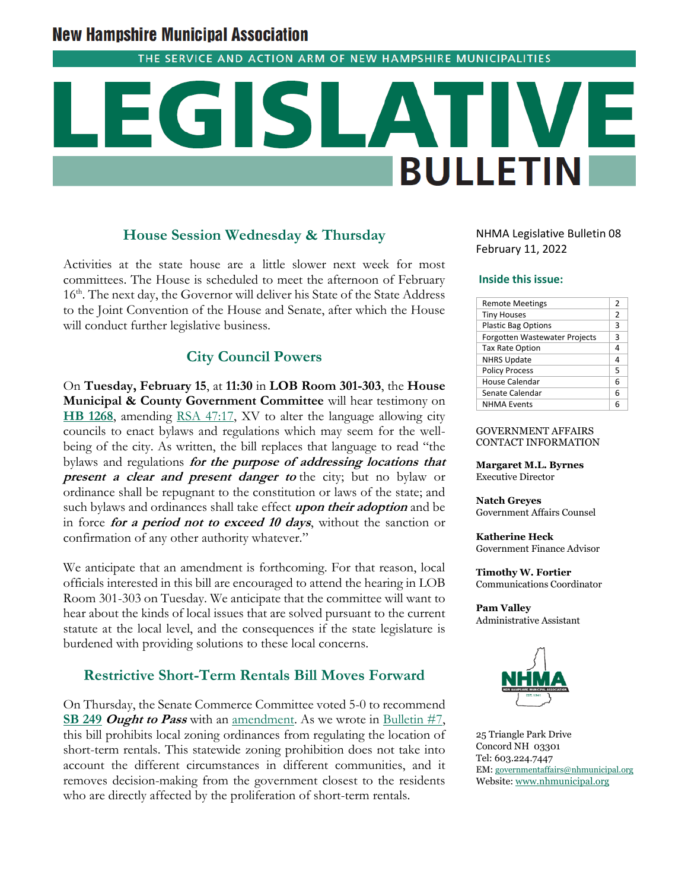# **New Hampshire Municipal Association**

THE SERVICE AND ACTION ARM OF NEW HAMPSHIRE MUNICIPALITIES

# **BULLETIN**

# **House Session Wednesday & Thursday**

Activities at the state house are a little slower next week for most committees. The House is scheduled to meet the afternoon of February 16<sup>th</sup>. The next day, the Governor will deliver his State of the State Address to the Joint Convention of the House and Senate, after which the House will conduct further legislative business.

# **City Council Powers**

On **Tuesday, February 15**, at **11:30** in **LOB Room 301-303**, the **House Municipal & County Government Committee** will hear testimony on **[HB 1268](http://www.gencourt.state.nh.us/bill_Status/pdf.aspx?id=27739&q=billVersion)**, amending [RSA 47:17,](http://www.gencourt.state.nh.us/rsa/html/iii/47/47-17.htm) XV to alter the language allowing city councils to enact bylaws and regulations which may seem for the wellbeing of the city. As written, the bill replaces that language to read "the bylaws and regulations **for the purpose of addressing locations that present a clear and present danger to** the city; but no bylaw or ordinance shall be repugnant to the constitution or laws of the state; and such bylaws and ordinances shall take effect **upon their adoption** and be in force **for a period not to exceed 10 days**, without the sanction or confirmation of any other authority whatever."

We anticipate that an amendment is forthcoming. For that reason, local officials interested in this bill are encouraged to attend the hearing in LOB Room 301-303 on Tuesday. We anticipate that the committee will want to hear about the kinds of local issues that are solved pursuant to the current statute at the local level, and the consequences if the state legislature is burdened with providing solutions to these local concerns.

# **Restrictive Short-Term Rentals Bill Moves Forward**

On Thursday, the Senate Commerce Committee voted 5-0 to recommend **[SB 249](http://www.gencourt.state.nh.us/bill_status/billinfo.aspx?id=2064&inflect=2) Ought to Pass** with an <u>amendment</u>. As we wrote in [Bulletin #7,](https://www.nhmunicipal.org/legislative-bulletin/2022-nhma-legislative-bulletin-07) this bill prohibits local zoning ordinances from regulating the location of short-term rentals. This statewide zoning prohibition does not take into account the different circumstances in different communities, and it removes decision-making from the government closest to the residents who are directly affected by the proliferation of short-term rentals.

NHMA Legislative Bulletin 08 February 11, 2022

### **Inside this issue:**

| <b>Remote Meetings</b>               | 2 |
|--------------------------------------|---|
| <b>Tiny Houses</b>                   | 2 |
| <b>Plastic Bag Options</b>           | 3 |
| <b>Forgotten Wastewater Projects</b> | 3 |
| <b>Tax Rate Option</b>               | 4 |
| <b>NHRS Update</b>                   | 4 |
| <b>Policy Process</b>                | 5 |
| House Calendar                       | 6 |
| Senate Calendar                      | 6 |
| <b>NHMA Events</b>                   | 6 |

### GOVERNMENT AFFAIRS CONTACT INFORMATION

**Margaret M.L. Byrnes** Executive Director

**Natch Greyes** Government Affairs Counsel

**Katherine Heck** Government Finance Advisor

**Timothy W. Fortier** Communications Coordinator

**Pam Valley** Administrative Assistant



25 Triangle Park Drive Concord NH 03301 Tel: 603.224.7447 EM: [governmentaffairs@nhmunicipal.org](mailto:governmentaffairs@nhmunicipal.org) Website: [www.nhmunicipal.org](http://www.nhmunicipal.org/)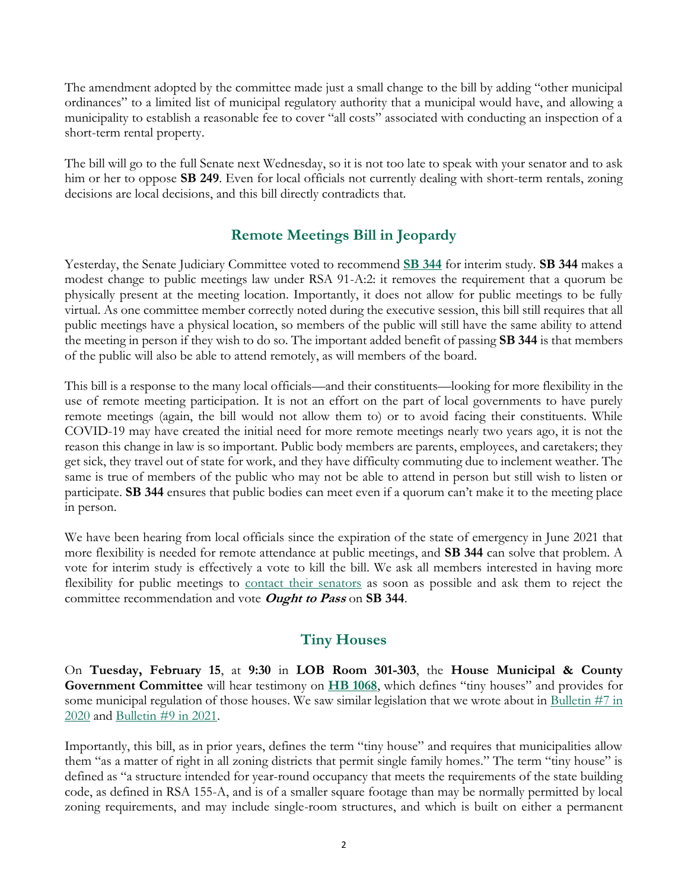The amendment adopted by the committee made just a small change to the bill by adding "other municipal ordinances" to a limited list of municipal regulatory authority that a municipal would have, and allowing a municipality to establish a reasonable fee to cover "all costs" associated with conducting an inspection of a short-term rental property.

The bill will go to the full Senate next Wednesday, so it is not too late to speak with your senator and to ask him or her to oppose **SB 249**. Even for local officials not currently dealing with short-term rentals, zoning decisions are local decisions, and this bill directly contradicts that.

# **Remote Meetings Bill in Jeopardy**

Yesterday, the Senate Judiciary Committee voted to recommend **[SB 344](http://www.gencourt.state.nh.us/bill_status/billinfo.aspx?id=2194&inflect=2)** for interim study. **SB 344** makes a modest change to public meetings law under RSA 91-A:2: it removes the requirement that a quorum be physically present at the meeting location. Importantly, it does not allow for public meetings to be fully virtual. As one committee member correctly noted during the executive session, this bill still requires that all public meetings have a physical location, so members of the public will still have the same ability to attend the meeting in person if they wish to do so. The important added benefit of passing **SB 344** is that members of the public will also be able to attend remotely, as will members of the board.

This bill is a response to the many local officials—and their constituents—looking for more flexibility in the use of remote meeting participation. It is not an effort on the part of local governments to have purely remote meetings (again, the bill would not allow them to) or to avoid facing their constituents. While COVID-19 may have created the initial need for more remote meetings nearly two years ago, it is not the reason this change in law is so important. Public body members are parents, employees, and caretakers; they get sick, they travel out of state for work, and they have difficulty commuting due to inclement weather. The same is true of members of the public who may not be able to attend in person but still wish to listen or participate. **SB 344** ensures that public bodies can meet even if a quorum can't make it to the meeting place in person.

We have been hearing from local officials since the expiration of the state of emergency in June 2021 that more flexibility is needed for remote attendance at public meetings, and **SB 344** can solve that problem. A vote for interim study is effectively a vote to kill the bill. We ask all members interested in having more flexibility for public meetings to [contact their senators](http://www.gencourt.state.nh.us/senate/members/senate_roster.aspx) as soon as possible and ask them to reject the committee recommendation and vote **Ought to Pass** on **SB 344**.

# **Tiny Houses**

On **Tuesday, February 15**, at **9:30** in **LOB Room 301-303**, the **House Municipal & County Government Committee** will hear testimony on **[HB 1068](http://www.gencourt.state.nh.us/bill_status/pdf.aspx?id=26092&q=billVersion)**, which defines "tiny houses" and provides for some municipal regulation of those houses. We saw similar legislation that we wrote about in [Bulletin #7 in](https://www.nhmunicipal.org/legislative-bulletin/2020-nhma-legislative-bulletin-07#15868)  [2020](https://www.nhmunicipal.org/legislative-bulletin/2020-nhma-legislative-bulletin-07#15868) and [Bulletin #9 in 2021.](https://www.nhmunicipal.org/legislative-bulletin/2021-nhma-legislative-bulletin-09#22728)

Importantly, this bill, as in prior years, defines the term "tiny house" and requires that municipalities allow them "as a matter of right in all zoning districts that permit single family homes." The term "tiny house" is defined as "a structure intended for year-round occupancy that meets the requirements of the state building code, as defined in RSA 155-A, and is of a smaller square footage than may be normally permitted by local zoning requirements, and may include single-room structures, and which is built on either a permanent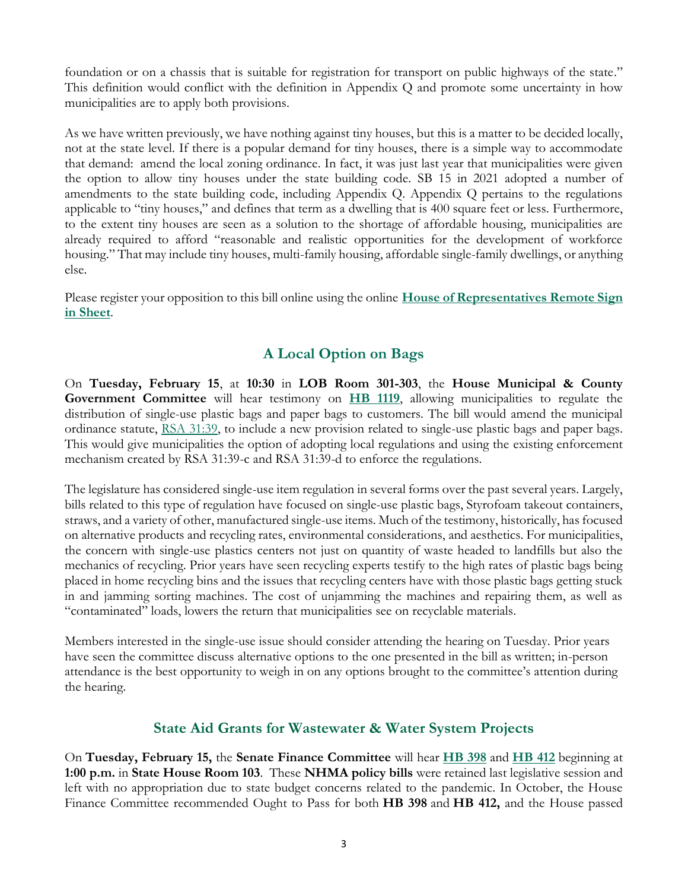foundation or on a chassis that is suitable for registration for transport on public highways of the state." This definition would conflict with the definition in Appendix Q and promote some uncertainty in how municipalities are to apply both provisions.

As we have written previously, we have nothing against tiny houses, but this is a matter to be decided locally, not at the state level. If there is a popular demand for tiny houses, there is a simple way to accommodate that demand: amend the local zoning ordinance. In fact, it was just last year that municipalities were given the option to allow tiny houses under the state building code. SB 15 in 2021 adopted a number of amendments to the state building code, including Appendix Q. Appendix Q pertains to the regulations applicable to "tiny houses," and defines that term as a dwelling that is 400 square feet or less. Furthermore, to the extent tiny houses are seen as a solution to the shortage of affordable housing, municipalities are already required to afford "reasonable and realistic opportunities for the development of workforce housing." That may include tiny houses, multi-family housing, affordable single-family dwellings, or anything else.

Please register your opposition to this bill online using the online **[House of Representatives Remote Sign](http://www.gencourt.state.nh.us/house/committees/remotetestimony/default.aspx)  [in Sheet](http://www.gencourt.state.nh.us/house/committees/remotetestimony/default.aspx)**.

# **A Local Option on Bags**

On **Tuesday, February 15**, at **10:30** in **LOB Room 301-303**, the **House Municipal & County Government Committee** will hear testimony on **[HB 1119](http://www.gencourt.state.nh.us/bill_Status/pdf.aspx?id=27271&q=billVersion)**, allowing municipalities to regulate the distribution of single-use plastic bags and paper bags to customers. The bill would amend the municipal ordinance statute, [RSA 31:39,](http://gencourt.state.nh.us/rsa/html/III/31/31-39.htm) to include a new provision related to single-use plastic bags and paper bags. This would give municipalities the option of adopting local regulations and using the existing enforcement mechanism created by RSA 31:39-c and RSA 31:39-d to enforce the regulations.

The legislature has considered single-use item regulation in several forms over the past several years. Largely, bills related to this type of regulation have focused on single-use plastic bags, Styrofoam takeout containers, straws, and a variety of other, manufactured single-use items. Much of the testimony, historically, has focused on alternative products and recycling rates, environmental considerations, and aesthetics. For municipalities, the concern with single-use plastics centers not just on quantity of waste headed to landfills but also the mechanics of recycling. Prior years have seen recycling experts testify to the high rates of plastic bags being placed in home recycling bins and the issues that recycling centers have with those plastic bags getting stuck in and jamming sorting machines. The cost of unjamming the machines and repairing them, as well as "contaminated" loads, lowers the return that municipalities see on recyclable materials.

Members interested in the single-use issue should consider attending the hearing on Tuesday. Prior years have seen the committee discuss alternative options to the one presented in the bill as written; in-person attendance is the best opportunity to weigh in on any options brought to the committee's attention during the hearing.

# **State Aid Grants for Wastewater & Water System Projects**

On **Tuesday, February 15,** the **Senate Finance Committee** will hear **[HB 398](http://www.gencourt.state.nh.us/bill_Status/pdf.aspx?id=30060&q=billVersion)** and **[HB 412](http://www.gencourt.state.nh.us/bill_Status/pdf.aspx?id=30062&q=billVersion)** beginning at **1:00 p.m.** in **State House Room 103**. These **NHMA policy bills** were retained last legislative session and left with no appropriation due to state budget concerns related to the pandemic. In October, the House Finance Committee recommended Ought to Pass for both **HB 398** and **HB 412,** and the House passed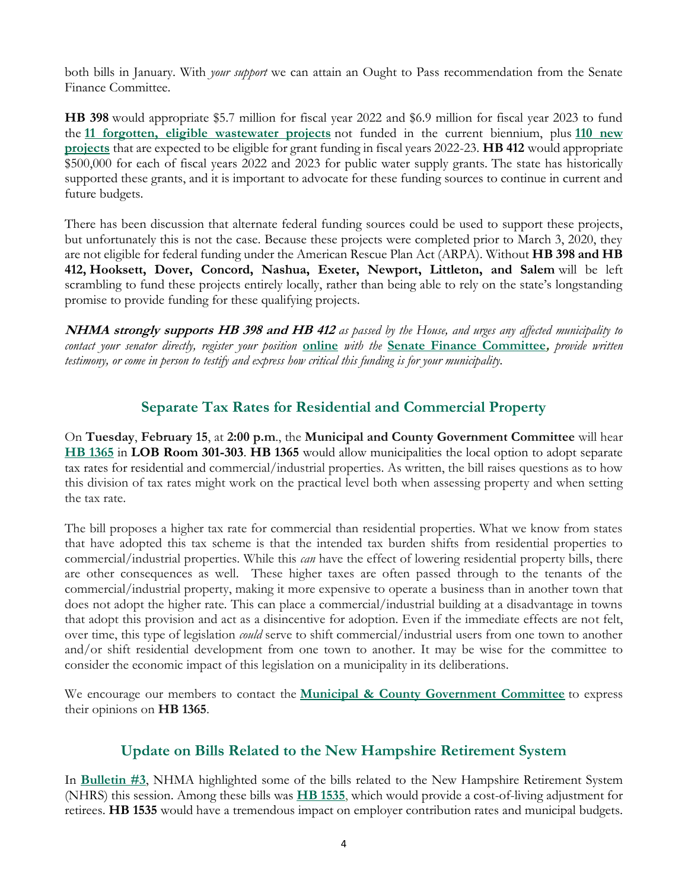both bills in January. With *your support* we can attain an Ought to Pass recommendation from the Senate Finance Committee.

**HB 398** would appropriate \$5.7 million for fiscal year 2022 and \$6.9 million for fiscal year 2023 to fund the **[11 forgotten, eligible wastewater projects](https://www.nhmunicipal.org/sites/default/files/uploads/legislative-bulletins/sag_prioritizedneedbudgetdetail_11projects_2021-01-04.pdf)** not funded in the current biennium, plus **[110 new](https://www.nhmunicipal.org/sites/default/files/uploads/legislative-bulletins/sag_listhopefulprojects_fy22-23_2021-01-04.pdf)  [projects](https://www.nhmunicipal.org/sites/default/files/uploads/legislative-bulletins/sag_listhopefulprojects_fy22-23_2021-01-04.pdf)** that are expected to be eligible for grant funding in fiscal years 2022-23. **HB 412** would appropriate \$500,000 for each of fiscal years 2022 and 2023 for public water supply grants. The state has historically supported these grants, and it is important to advocate for these funding sources to continue in current and future budgets.

There has been discussion that alternate federal funding sources could be used to support these projects, but unfortunately this is not the case. Because these projects were completed prior to March 3, 2020, they are not eligible for federal funding under the American Rescue Plan Act (ARPA). Without **HB 398 and HB 412, Hooksett, Dover, Concord, Nashua, Exeter, Newport, Littleton, and Salem** will be left scrambling to fund these projects entirely locally, rather than being able to rely on the state's longstanding promise to provide funding for these qualifying projects.

**NHMA strongly supports HB 398 and HB 412** *as passed by the House, and urges any affected municipality to contact your senator directly, register your position* **[online](http://www.gencourt.state.nh.us/remotecommittee/senate.aspx)** *with the* **[Senate Finance Committee](http://www.gencourt.state.nh.us/senate/committees/committee_details.aspx?cc=32),** *provide written testimony, or come in person to testify and express how critical this funding is for your municipality.*

# **Separate Tax Rates for Residential and Commercial Property**

On **Tuesday**, **February 15**, at **2:00 p.m**., the **Municipal and County Government Committee** will hear **[HB 1365](http://www.gencourt.state.nh.us/bill_status/pdf.aspx?id=27866&q=billVersion)** in **LOB Room 301-303**. **HB 1365** would allow municipalities the local option to adopt separate tax rates for residential and commercial/industrial properties. As written, the bill raises questions as to how this division of tax rates might work on the practical level both when assessing property and when setting the tax rate.

The bill proposes a higher tax rate for commercial than residential properties. What we know from states that have adopted this tax scheme is that the intended tax burden shifts from residential properties to commercial/industrial properties. While this *can* have the effect of lowering residential property bills, there are other consequences as well. These higher taxes are often passed through to the tenants of the commercial/industrial property, making it more expensive to operate a business than in another town that does not adopt the higher rate. This can place a commercial/industrial building at a disadvantage in towns that adopt this provision and act as a disincentive for adoption. Even if the immediate effects are not felt, over time, this type of legislation *could* serve to shift commercial/industrial users from one town to another and/or shift residential development from one town to another. It may be wise for the committee to consider the economic impact of this legislation on a municipality in its deliberations.

We encourage our members to contact the **[Municipal & County Government Committee](http://www.gencourt.state.nh.us/house/committees/committeedetails.aspx?id=11)** to express their opinions on **HB 1365**.

# **Update on Bills Related to the New Hampshire Retirement System**

In **[Bulletin #3](https://www.nhmunicipal.org/legislative-bulletin/2022-nhma-legislative-bulletin-03)**, NHMA highlighted some of the bills related to the New Hampshire Retirement System (NHRS) this session. Among these bills was **[HB 1535](http://www.gencourt.state.nh.us/bill_Status/pdf.aspx?id=28756&q=billVersion)**, which would provide a cost-of-living adjustment for retirees. **HB 1535** would have a tremendous impact on employer contribution rates and municipal budgets.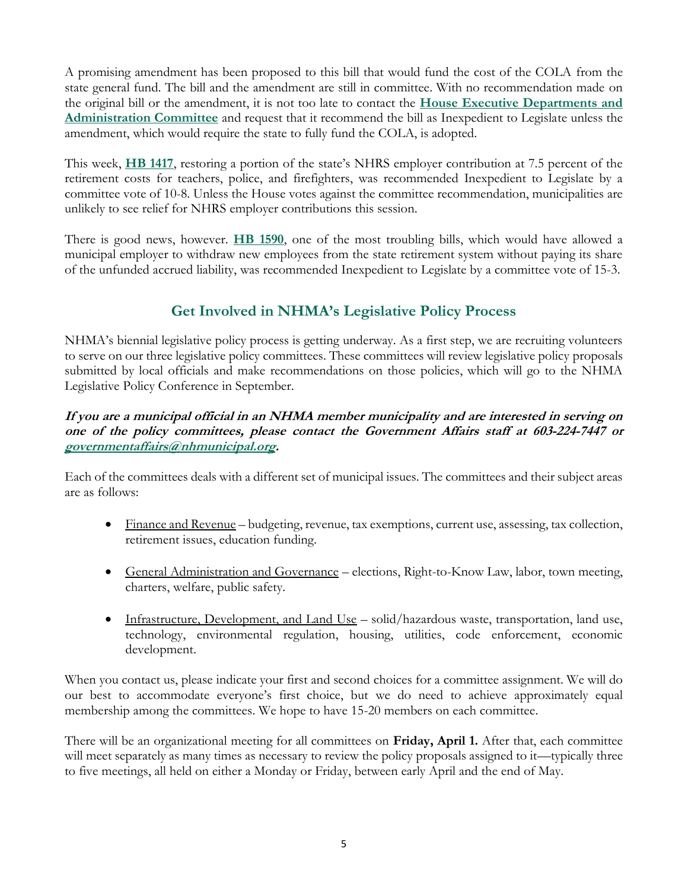A promising amendment has been proposed to this bill that would fund the cost of the COLA from the state general fund. The bill and the amendment are still in committee. With no recommendation made on the original bill or the amendment, it is not too late to contact the **[House Executive Departments and](http://www.gencourt.state.nh.us/house/committees/committeedetails.aspx?id=3)  [Administration Committee](http://www.gencourt.state.nh.us/house/committees/committeedetails.aspx?id=3)** and request that it recommend the bill as Inexpedient to Legislate unless the amendment, which would require the state to fully fund the COLA, is adopted.

This week, **[HB 1417](http://www.gencourt.state.nh.us/bill_status/pdf.aspx?id=28309&q=billVersion)**, restoring a portion of the state's NHRS employer contribution at 7.5 percent of the retirement costs for teachers, police, and firefighters, was recommended Inexpedient to Legislate by a committee vote of 10-8. Unless the House votes against the committee recommendation, municipalities are unlikely to see relief for NHRS employer contributions this session.

There is good news, however. **[HB 1590](http://www.gencourt.state.nh.us/bill_status/pdf.aspx?id=29391&q=billVersion)**, one of the most troubling bills, which would have allowed a municipal employer to withdraw new employees from the state retirement system without paying its share of the unfunded accrued liability, was recommended Inexpedient to Legislate by a committee vote of 15-3.

# **Get Involved in NHMA's Legislative Policy Process**

NHMA's biennial legislative policy process is getting underway. As a first step, we are recruiting volunteers to serve on our three legislative policy committees. These committees will review legislative policy proposals submitted by local officials and make recommendations on those policies, which will go to the NHMA Legislative Policy Conference in September.

## **If you are a municipal official in an NHMA member municipality and are interested in serving on one of the policy committees, please contact the Government Affairs staff at 603-224-7447 or [governmentaffairs@nhmunicipal.org.](mailto:governmentaffairs@nhmunicipal.org)**

Each of the committees deals with a different set of municipal issues. The committees and their subject areas are as follows:

- Finance and Revenue budgeting, revenue, tax exemptions, current use, assessing, tax collection, retirement issues, education funding.
- General Administration and Governance elections, Right-to-Know Law, labor, town meeting, charters, welfare, public safety.
- Infrastructure, Development, and Land Use solid/hazardous waste, transportation, land use, technology, environmental regulation, housing, utilities, code enforcement, economic development.

When you contact us, please indicate your first and second choices for a committee assignment. We will do our best to accommodate everyone's first choice, but we do need to achieve approximately equal membership among the committees. We hope to have 15-20 members on each committee.

There will be an organizational meeting for all committees on **Friday, April 1.** After that, each committee will meet separately as many times as necessary to review the policy proposals assigned to it—typically three to five meetings, all held on either a Monday or Friday, between early April and the end of May.